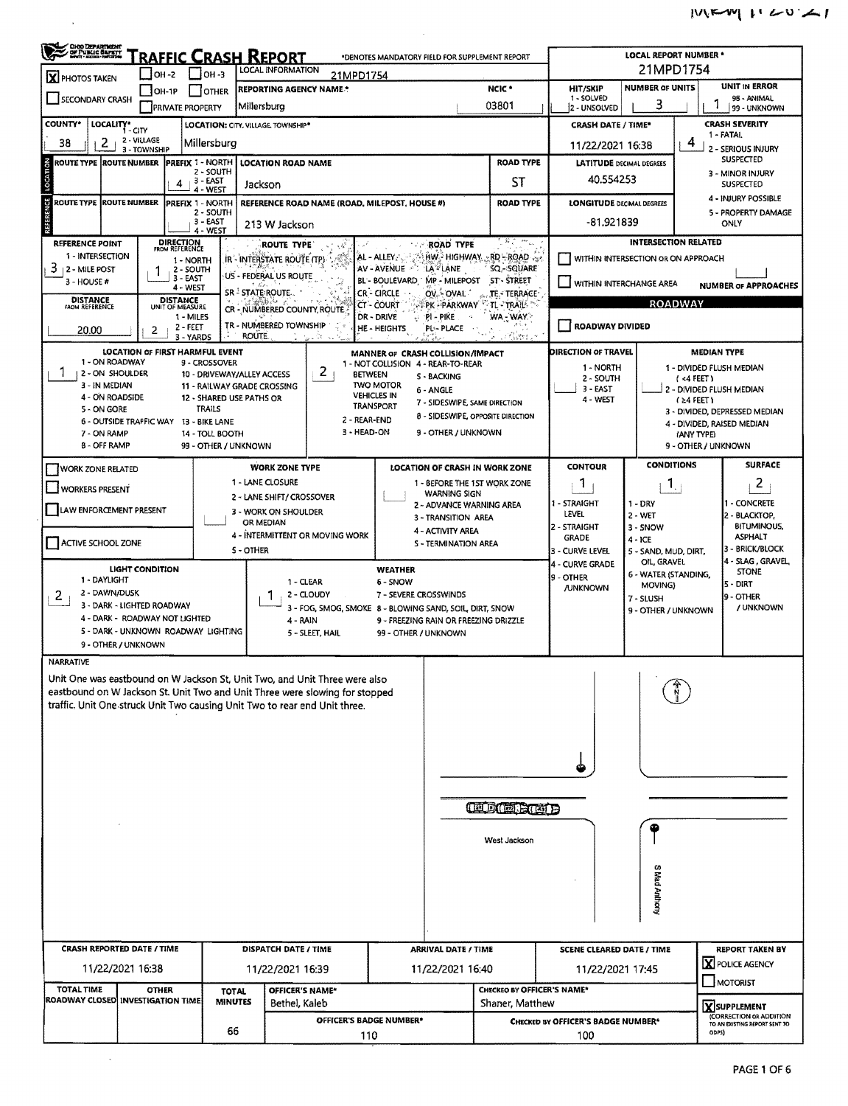| <b>CHOO DEPARTMENT</b><br>/ DE PUBLIC BAFRIT<br>/ MART : MODE : MARTON                                               |                                                            |                                    |                                   | <b>RAFFIC CRASH REPORT</b>                                |                                                         |                                                                   | *DENOTES MANDATORY FIELD FOR SUPPLEMENT REPORT      |                            |                                                  | <b>LOCAL REPORT NUMBER *</b>        |                                     |                                              |  |  |  |
|----------------------------------------------------------------------------------------------------------------------|------------------------------------------------------------|------------------------------------|-----------------------------------|-----------------------------------------------------------|---------------------------------------------------------|-------------------------------------------------------------------|-----------------------------------------------------|----------------------------|--------------------------------------------------|-------------------------------------|-------------------------------------|----------------------------------------------|--|--|--|
| <b>X</b> PHOTOS TAKEN                                                                                                | $ OH - 2 $                                                 |                                    | $1$ IOH 3                         | LOCAL INFORMATION                                         | 21MPD1754                                               |                                                                   |                                                     |                            |                                                  | 21MPD1754                           |                                     |                                              |  |  |  |
| SECONDARY CRASH                                                                                                      | OH-1P                                                      |                                    | <b>OTHER</b>                      | REPORTING AGENCY NAME *                                   |                                                         |                                                                   |                                                     | NCIC <sup>*</sup>          | <b>HIT/SKIP</b><br>1 - SOLVED                    | <b>NUMBER OF UNITS</b>              |                                     | <b>UNIT IN ERROR</b><br>98 - ANIMAL          |  |  |  |
|                                                                                                                      |                                                            | <b>[PRIVATE PROPERTY</b>           |                                   | Millersburg                                               |                                                         |                                                                   |                                                     | 03801                      | 2 - UNSOLVED                                     | 3                                   |                                     | 99 - UNKNOWN                                 |  |  |  |
| <b>COUNTY*</b><br>LOCALITY* CITY                                                                                     | 2 - VILLAGE                                                |                                    |                                   | LOCATION: CITY, VILLAGE, TOWNSHIP*                        |                                                         |                                                                   |                                                     |                            | <b>CRASH DATE / TIME*</b>                        |                                     |                                     | <b>CRASH SEVERITY</b><br>1 - FATAL           |  |  |  |
| 2<br>38                                                                                                              | 3 - TOWNSHIP                                               |                                    | Millersburg                       |                                                           |                                                         |                                                                   |                                                     |                            | 11/22/2021 16:38                                 |                                     | 4                                   | 2 - SERIOUS INJURY                           |  |  |  |
| <b>PREFIX 1 - NORTH</b><br>$\epsilon$<br>ROUTE TYPE<br><b>ROUTE NUMBER</b><br><b>LOCATION ROAD NAME</b><br>2 - SOUTH |                                                            |                                    |                                   |                                                           |                                                         |                                                                   |                                                     | <b>ROAD TYPE</b>           | <b>LATITUDE DECIMAL DEGREES</b>                  |                                     |                                     | <b>SUSPECTED</b><br>3 - MINOR INJURY         |  |  |  |
| LOCATI                                                                                                               |                                                            | 4                                  | , 3 - EAST<br>4 - WEST            | Jackson                                                   |                                                         |                                                                   |                                                     | ST                         | 40.554253                                        |                                     |                                     | <b>SUSPECTED</b>                             |  |  |  |
| U<br><b>ROUTE TYPE ROUTE NUMBER</b>                                                                                  |                                                            | <b>PREFIX 1 - NORTH</b>            |                                   |                                                           |                                                         | REFERENCE ROAD NAME (ROAD, MILEPOST, HOUSE #)<br><b>ROAD TYPE</b> |                                                     |                            | <b>LONGITUDE DECIMAL DEGREES</b>                 |                                     |                                     | 4 - INJURY POSSIBLE                          |  |  |  |
| REF                                                                                                                  |                                                            |                                    | 2 - SOUTH<br>3 - EAST<br>4 - WEST | 213 W Jackson                                             |                                                         |                                                                   |                                                     |                            | -81.921839                                       |                                     |                                     | 5 - PROPERTY DAMAGE<br><b>ONLY</b>           |  |  |  |
| REFERENCE POINT                                                                                                      |                                                            | <b>DIRECTION</b><br>FROM REFERENCE |                                   | <b>ROUTE TYPE</b>                                         |                                                         |                                                                   | <b>ROAD TYPE</b>                                    | 多こやく                       |                                                  | <b>INTERSECTION RELATED</b>         |                                     |                                              |  |  |  |
| 1 - INTERSECTION                                                                                                     |                                                            | 1 - NORTH                          |                                   | IR - INTERSTATE ROUTE (TP)                                |                                                         | AL - ALLEY                                                        | HW HIGHWAY RD-ROAD                                  |                            | WITHIN INTERSECTION OR ON APPROACH               |                                     |                                     |                                              |  |  |  |
| 3<br>  2 - MILE POST<br>3 - HOUSE #                                                                                  |                                                            | 2 - SOUTH<br>3 - EAST              |                                   | US - FEDERAL US ROUTE                                     |                                                         | AV - AVENUE                                                       | 'LA`-" LANE<br>BL BOULEVARD MP MILEPOST             | SQ - SQUARE<br>ST-STREET   |                                                  |                                     |                                     |                                              |  |  |  |
| <b>DISTANCE</b>                                                                                                      |                                                            | 4 - WEST<br><b>DISTANCE</b>        |                                   | SR <sup>3</sup> STATE ROUTE.                              |                                                         | <b>CR-CIRCLE</b>                                                  | OV OVAL                                             | TE - TERRACE -             | VITHIN INTERCHANGE AREA                          |                                     |                                     | <b>NUMBER OF APPROACHES</b>                  |  |  |  |
| <b>FROM REFERENCE</b>                                                                                                |                                                            | UNIT OF MEASURE<br>1 MILES         |                                   | 31 A<br>CR - NUMBERED COUNTY, ROUTE                       |                                                         | CT - COURT<br>DR - DRIVE                                          | <b>PREPARKWAY TU TRAIL</b><br>$\approx$ PI - PIKE   | WA WAY                     |                                                  |                                     | <b>ROADWAY</b>                      |                                              |  |  |  |
| 20.00                                                                                                                | 2                                                          | $2 - FEET$                         |                                   | TR - NUMBERED TOWNSHIP<br><b>ROUTE</b>                    |                                                         | <b>HE-HEIGHTS</b>                                                 | PL-PLACE                                            |                            | <b>ROADWAY DIVIDED</b>                           |                                     |                                     |                                              |  |  |  |
|                                                                                                                      | LOCATION OF FIRST HARMFUL EVENT                            | 3 - YARDS                          |                                   |                                                           |                                                         |                                                                   | MANNER OF CRASH COLLISION/IMPACT                    | 73381                      | DIRECTION OF TRAVEL                              |                                     |                                     | <b>MEDIAN TYPE</b>                           |  |  |  |
| 1 - ON ROADWAY                                                                                                       |                                                            |                                    | 9 - CROSSOVER                     |                                                           |                                                         |                                                                   | 1 - NOT COLLISION 4 - REAR-TO-REAR                  |                            | 1 - NORTH                                        |                                     |                                     | 1 - DIVIDED FLUSH MEDIAN                     |  |  |  |
| 2 - ON SHOULDER<br>3 - IN MEDIAN                                                                                     |                                                            |                                    |                                   | 10 - DRIVEWAY/ALLEY ACCESS<br>11 - RAILWAY GRADE CROSSING | 2                                                       | <b>BETWEEN</b><br><b>TWO MOTOR</b>                                | S - BACKING                                         |                            | 2 - SOUTH                                        |                                     | (<4 FEET)                           |                                              |  |  |  |
| 4 - ON ROADSIDE                                                                                                      |                                                            |                                    |                                   | 12 - SHARED USE PATHS OR                                  |                                                         | <b>VEHICLES IN</b>                                                | 6 - ANGLE<br>7 - SIDESWIPE, SAME DIRECTION          |                            | 3 - EAST<br>4 - WEST                             |                                     | (≥4 FEET)                           | 2 - DIVIDED FLUSH MEDIAN                     |  |  |  |
| 5 - ON GORE                                                                                                          | 6 - OUTSIDE TRAFFIC WAY 13 - BIKE LANE                     |                                    | <b>TRAILS</b>                     |                                                           | 2 - REAR-END                                            | <b>TRANSPORT</b>                                                  | 8 - SIDESWIPE, OPPOSITE DIRECTION                   |                            |                                                  |                                     |                                     | 3 - DIVIDED, DEPRESSED MEDIAN                |  |  |  |
| 7 - ON RAMP                                                                                                          |                                                            |                                    | 14 - TOLL BOOTH                   |                                                           | 3 - HEAD-ON                                             |                                                                   | 9 - OTHER / UNKNOWN                                 |                            |                                                  |                                     | (ANY TYPE)                          | 4 - DIVIDED, RAISED MEDIAN                   |  |  |  |
| 8 - OFF RAMP                                                                                                         |                                                            |                                    | 99 - OTHER / UNKNOWN              |                                                           |                                                         |                                                                   |                                                     |                            |                                                  |                                     | 9 - OTHER / UNKNOWN                 |                                              |  |  |  |
| <b>WORK ZONE RELATED</b>                                                                                             |                                                            |                                    |                                   | <b>WORK ZONE TYPE</b>                                     |                                                         |                                                                   | LOCATION OF CRASH IN WORK ZONE                      |                            | <b>CONTOUR</b>                                   | <b>CONDITIONS</b>                   |                                     | <b>SURFACE</b>                               |  |  |  |
| WORKERS PRESENT                                                                                                      |                                                            |                                    |                                   | 1 - LANE CLOSURE                                          |                                                         |                                                                   | 1 - BEFORE THE 1ST WORK ZONE<br><b>WARNING SIGN</b> |                            | $\mathbf{1}$                                     | $\mathbf{1}$                        |                                     | 2                                            |  |  |  |
|                                                                                                                      |                                                            |                                    |                                   | 2 - LANE SHIFT/ CROSSOVER                                 |                                                         | 1 - STRAIGHT                                                      | $1 - DRY$                                           |                            | 1 - CONCRETE                                     |                                     |                                     |                                              |  |  |  |
| LAW ENFORCEMENT PRESENT                                                                                              |                                                            |                                    |                                   | 3 - WORK ON SHOULDER<br>OR MEDIAN                         |                                                         | 3 - TRANSITION AREA                                               |                                                     | LEVEL                      | 2 - WET                                          |                                     | 2 - BLACKTOP,<br><b>BITUMINOUS,</b> |                                              |  |  |  |
| 4 - INTERMITTENT OR MOVING WORK<br><b>ACTIVE SCHOOL ZONE</b>                                                         |                                                            |                                    |                                   |                                                           |                                                         |                                                                   | 4 - ACTIVITY AREA                                   |                            | 2 - STRAIGHT<br><b>GRADE</b>                     | 3 - SNOW<br>4 - ICE                 |                                     | <b>ASPHALT</b>                               |  |  |  |
|                                                                                                                      |                                                            |                                    |                                   | <b>5 - OTHER</b>                                          |                                                         |                                                                   | S - TERMINATION AREA                                |                            | 3 - CURVE LEVEL                                  | 5 - SAND, MUD, DIRT,                |                                     | 3 - BRICK/BLOCK                              |  |  |  |
|                                                                                                                      | <b>LIGHT CONDITION</b>                                     |                                    |                                   |                                                           |                                                         | WEATHER                                                           |                                                     |                            | 4 - CURVE GRADE<br>9 - OTHER                     | OIL, GRAVEL<br>6 - WATER (STANDING, |                                     | 4 - SLAG, GRAVEL<br><b>STONE</b>             |  |  |  |
| 1 - DAYLIGHT<br>2 - DAWN/DUSK                                                                                        |                                                            |                                    |                                   |                                                           | 1 - CLEAR<br>2 - CLOUDY                                 | 6 - SNOW<br>7 - SEVERE CROSSWINDS                                 |                                                     |                            | <b>JUNKNOWN</b>                                  | MOVING)                             |                                     | 5 - DIRT<br><b>9 - OTHER</b>                 |  |  |  |
| 2                                                                                                                    | 3 - DARK - LIGHTED ROADWAY                                 |                                    |                                   |                                                           | 3 - FOG, SMOG, SMOKE 8 - BLOWING SAND, SOIL, DIRT, SNOW |                                                                   |                                                     |                            |                                                  | 7 - SLUSH<br>9 - OTHER / UNKNOWN    |                                     | / UNKNOWN                                    |  |  |  |
|                                                                                                                      | 4 - DARK - ROADWAY NOT LIGHTED                             |                                    |                                   |                                                           | 4 - RAIN                                                | 9 - FREEZING RAIN OR FREEZING DRIZZLE                             |                                                     |                            |                                                  |                                     |                                     |                                              |  |  |  |
|                                                                                                                      | 5 - DARK - UNKNOWN ROADWAY LIGHTING<br>9 - OTHER / UNKNOWN |                                    |                                   |                                                           | 5 - SLEET, HAIL                                         |                                                                   | 99 - OTHER / UNKNOWN                                |                            |                                                  |                                     |                                     |                                              |  |  |  |
| NARRATIVE                                                                                                            |                                                            |                                    |                                   |                                                           |                                                         |                                                                   |                                                     |                            |                                                  |                                     |                                     |                                              |  |  |  |
| Unit One was eastbound on W Jackson St, Unit Two, and Unit Three were also                                           |                                                            |                                    |                                   |                                                           |                                                         |                                                                   |                                                     |                            |                                                  |                                     |                                     |                                              |  |  |  |
| eastbound on W Jackson St. Unit Two and Unit Three were slowing for stopped                                          |                                                            |                                    |                                   |                                                           |                                                         |                                                                   |                                                     |                            |                                                  |                                     |                                     |                                              |  |  |  |
| traffic. Unit One struck Unit Two causing Unit Two to rear end Unit three.                                           |                                                            |                                    |                                   |                                                           |                                                         |                                                                   |                                                     |                            |                                                  |                                     |                                     |                                              |  |  |  |
|                                                                                                                      |                                                            |                                    |                                   |                                                           |                                                         |                                                                   |                                                     |                            |                                                  |                                     |                                     |                                              |  |  |  |
|                                                                                                                      |                                                            |                                    |                                   |                                                           |                                                         |                                                                   |                                                     |                            |                                                  |                                     |                                     |                                              |  |  |  |
|                                                                                                                      |                                                            |                                    |                                   |                                                           |                                                         |                                                                   |                                                     |                            |                                                  |                                     |                                     |                                              |  |  |  |
|                                                                                                                      |                                                            |                                    |                                   |                                                           |                                                         |                                                                   |                                                     |                            |                                                  |                                     |                                     |                                              |  |  |  |
|                                                                                                                      |                                                            |                                    |                                   |                                                           |                                                         |                                                                   |                                                     |                            |                                                  |                                     |                                     |                                              |  |  |  |
|                                                                                                                      |                                                            |                                    |                                   |                                                           |                                                         |                                                                   | <b>CEDITORIO DE</b>                                 |                            |                                                  |                                     |                                     |                                              |  |  |  |
|                                                                                                                      |                                                            |                                    |                                   |                                                           |                                                         |                                                                   |                                                     |                            |                                                  |                                     |                                     |                                              |  |  |  |
|                                                                                                                      |                                                            |                                    |                                   |                                                           |                                                         |                                                                   | West Jackson                                        |                            |                                                  |                                     |                                     |                                              |  |  |  |
|                                                                                                                      |                                                            |                                    |                                   |                                                           |                                                         |                                                                   |                                                     |                            |                                                  |                                     |                                     |                                              |  |  |  |
|                                                                                                                      |                                                            |                                    |                                   |                                                           |                                                         |                                                                   |                                                     |                            |                                                  |                                     |                                     |                                              |  |  |  |
|                                                                                                                      |                                                            |                                    |                                   |                                                           |                                                         |                                                                   |                                                     |                            |                                                  | S Mad Anthony                       |                                     |                                              |  |  |  |
|                                                                                                                      |                                                            |                                    |                                   |                                                           |                                                         |                                                                   |                                                     |                            |                                                  |                                     |                                     |                                              |  |  |  |
|                                                                                                                      |                                                            |                                    |                                   |                                                           |                                                         |                                                                   |                                                     |                            |                                                  |                                     |                                     |                                              |  |  |  |
| <b>CRASH REPORTED DATE / TIME</b>                                                                                    |                                                            |                                    |                                   | DISPATCH DATE / TIME                                      |                                                         |                                                                   | <b>ARRIVAL DATE / TIME</b>                          |                            | <b>SCENE CLEARED DATE / TIME</b>                 |                                     |                                     | <b>REPORT TAKEN BY</b><br>X POLICE AGENCY    |  |  |  |
|                                                                                                                      | 11/22/2021 16:38                                           |                                    |                                   | 11/22/2021 16:39                                          |                                                         |                                                                   | 11/22/2021 16:40                                    |                            | 11/22/2021 17:45                                 |                                     |                                     |                                              |  |  |  |
| <b>TOTAL TIME</b><br>ROADWAY CLOSED INVESTIGATION TIME                                                               | <b>OTHER</b>                                               |                                    | <b>TOTAL</b>                      |                                                           | OFFICER'S NAME*                                         |                                                                   |                                                     | CHECKEO BY OFFICER'S NAME* |                                                  |                                     | $\blacksquare$ MOTORIST             |                                              |  |  |  |
|                                                                                                                      |                                                            |                                    | <b>MINUTES</b>                    | Bethel, Kaleb                                             |                                                         |                                                                   |                                                     | Shaner, Matthew            |                                                  |                                     |                                     | XSUPPLEMENT<br><b>CORRECTION OR ADDITION</b> |  |  |  |
|                                                                                                                      |                                                            |                                    |                                   |                                                           |                                                         | OFFICER'S BADGE NUMBER*                                           |                                                     |                            | <b>CHECKED BY OFFICER'S BADGE NUMBER*</b><br>100 |                                     |                                     | TO AN EXISTING REPORT SENT TO<br>ODPS)       |  |  |  |
| 66<br>110                                                                                                            |                                                            |                                    |                                   |                                                           |                                                         |                                                                   |                                                     |                            |                                                  |                                     |                                     |                                              |  |  |  |

 $\sim 10$ 

 $\frac{1}{2}$  ,  $\frac{1}{2}$ 

 $\frac{1}{2}$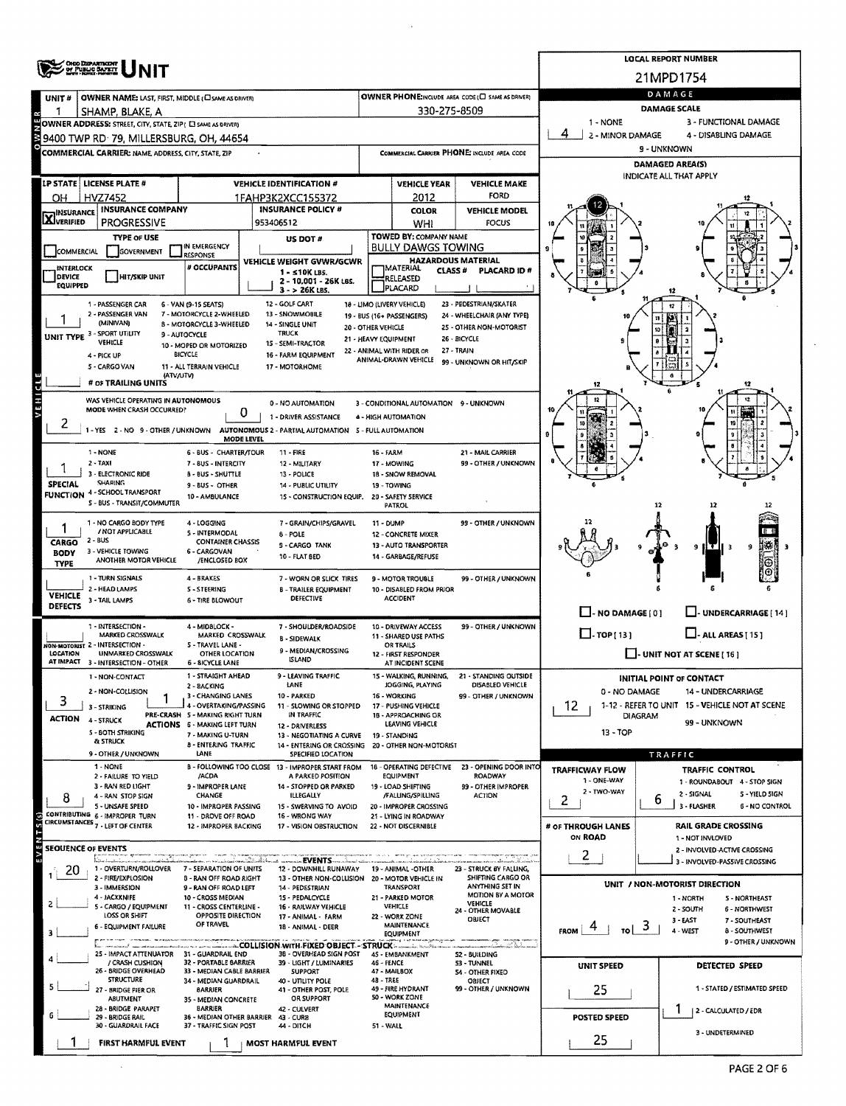|                                       | ONO DEPARTMENT<br>OF PUBLIC BAFETT                                            |                                                                                 | <b>LOCAL REPORT NUMBER</b>                                                      |                      |                                                                |                                                             |                                                          |                                                              |  |  |  |  |  |  |
|---------------------------------------|-------------------------------------------------------------------------------|---------------------------------------------------------------------------------|---------------------------------------------------------------------------------|----------------------|----------------------------------------------------------------|-------------------------------------------------------------|----------------------------------------------------------|--------------------------------------------------------------|--|--|--|--|--|--|
|                                       |                                                                               |                                                                                 |                                                                                 | 21MPD1754            |                                                                |                                                             |                                                          |                                                              |  |  |  |  |  |  |
| UNIT#                                 | OWNER NAME: LAST, FIRST, MIDDLE (C) SAME AS DRIVER)                           |                                                                                 |                                                                                 |                      |                                                                | OWNER PHONE:INCLUDE AREA CODE (C) SAME AS DRIVER)           | DAMAGE                                                   |                                                              |  |  |  |  |  |  |
|                                       | SHAMP, BLAKE, A<br>OWNER ADDRESS: STREET, CITY, STATE, ZIP! [ SAME AS DRIVER) |                                                                                 |                                                                                 |                      | 330-275-8509                                                   |                                                             | <b>DAMAGE SCALE</b><br>1 - NONE<br>3 - FUNCTIONAL DAMAGE |                                                              |  |  |  |  |  |  |
|                                       | 9400 TWP RD 79, MILLERSBURG, OH, 44654                                        |                                                                                 |                                                                                 |                      |                                                                |                                                             | 2 - MINOR DAMAGE                                         | 4 - DISABLING DAMAGE                                         |  |  |  |  |  |  |
|                                       | COMMERCIAL CARRIER: NAME, ADDRESS, CITY, STATE, ZIP                           |                                                                                 |                                                                                 |                      |                                                                | COMMERCIAL CARRIER PHONE: INCLUDE AREA CODE                 | 9 - UNKNOWN                                              |                                                              |  |  |  |  |  |  |
|                                       |                                                                               |                                                                                 |                                                                                 |                      |                                                                |                                                             | <b>DAMAGED AREA(S)</b>                                   |                                                              |  |  |  |  |  |  |
|                                       | LP STATE   LICENSE PLATE #                                                    |                                                                                 | <b>VEHICLE IDENTIFICATION #</b>                                                 |                      | <b>VEHICLE YEAR</b>                                            | <b>VEHICLE MAKE</b>                                         | INDICATE ALL THAT APPLY                                  |                                                              |  |  |  |  |  |  |
| OН                                    | <b>HVZ7452</b>                                                                |                                                                                 | 1FAHP3K2XCC155372                                                               |                      | 2012                                                           | FORD                                                        |                                                          |                                                              |  |  |  |  |  |  |
| <b>INSURANCE</b><br><b>X</b> VERIFIED | <b>INSURANCE COMPANY</b>                                                      |                                                                                 | <b>INSURANCE POLICY #</b>                                                       |                      | <b>COLOR</b>                                                   | <b>VEHICLE MODEL</b>                                        |                                                          |                                                              |  |  |  |  |  |  |
|                                       | <b>PROGRESSIVE</b><br><b>TYPE OF USE</b>                                      |                                                                                 | 953406512                                                                       |                      | <b>WHI</b><br>TOWED BY: COMPANY NAME                           | <b>FOCUS</b>                                                |                                                          |                                                              |  |  |  |  |  |  |
| <b>COMMERCIAL</b>                     | GOVERNMENT                                                                    | IN EMERGENCY                                                                    | US DOT #                                                                        |                      | <b>BULLY DAWGS TOWING</b>                                      |                                                             |                                                          |                                                              |  |  |  |  |  |  |
| <b>INTERLOCK</b>                      |                                                                               | <b>RESPONSE</b><br># OCCUPANTS                                                  | VEHICLE WEIGHT GVWR/GCWR                                                        |                      | <b>HAZARDOUS MATERIAL</b><br><b>IMATERIAL</b><br><b>CLASS#</b> | PLACARD ID#                                                 |                                                          |                                                              |  |  |  |  |  |  |
| <b>DEVICE</b><br><b>EQUIPPED</b>      | <b>HIT/SKIP UNIT</b>                                                          |                                                                                 | 1 - ≤10K LBS.<br>2 - 10,001 - 26K LBS.                                          |                      | RELEASED<br>PLACARD                                            |                                                             |                                                          |                                                              |  |  |  |  |  |  |
|                                       | 1 - PASSENGER CAR                                                             | 6 - VAN (9-15 SEATS)                                                            | 3 - > 26K LBS.<br>12 - GOLF CART                                                |                      | 18 - LIMO (LIVERY VEHICLE)                                     | 23 - PEDESTRIAN/SKATER                                      |                                                          |                                                              |  |  |  |  |  |  |
|                                       | 2 - PASSENGER VAN                                                             | 7 - MOTORCYCLE 2-WHEELED                                                        | 13 - SNOWMOBILE                                                                 |                      | 19 - BUS (16+ PASSENGERS)                                      | 24 - WHEELCHAIR (ANY TYPE)                                  |                                                          |                                                              |  |  |  |  |  |  |
|                                       | (MINIVAN)<br>UNIT TYPE 3 - SPORT UTILITY                                      | 8 - MOTORCYCLE 3-WHEELED<br>9 - AUTOCYCLE                                       | 14 - SINGLE UNIT<br><b>TRUCK</b>                                                | 20 - OTHER VEHICLE   |                                                                | 25 - OTHER NON-MOTORIST                                     |                                                          |                                                              |  |  |  |  |  |  |
|                                       | <b>VEHICLE</b>                                                                | 10 - MOPED OR MOTORIZED                                                         | 15 - SEMI-TRACTOR                                                               | 21 - HEAVY EQUIPMENT | 22 - ANIMAL WITH RIDER OR                                      | 26 - BICYCLE<br>27 - TRAIN                                  |                                                          |                                                              |  |  |  |  |  |  |
|                                       | 4 - PICK UP<br>S - CARGO VAN                                                  | <b>BICYCLE</b><br>11 - ALL TERRAIN VEHICLE                                      | 16 - FARM EQUIPMENT<br>17 - MOTORHOME                                           |                      | ANIMAL-DRAWN VEHICLE                                           | 99 - UNKNOWN OR HIT/SKIP                                    |                                                          |                                                              |  |  |  |  |  |  |
|                                       | (ATV/UTV)<br># OF TRAILING UNITS                                              |                                                                                 |                                                                                 |                      |                                                                |                                                             | 12                                                       | 12                                                           |  |  |  |  |  |  |
| VEHICLE                               | WAS VEHICLE OPERATING IN AUTONOMOUS                                           |                                                                                 |                                                                                 |                      |                                                                |                                                             |                                                          |                                                              |  |  |  |  |  |  |
|                                       | MODE WHEN CRASH OCCURRED?                                                     | 0                                                                               | 0 - NO AUTOMATION<br>1 - DRIVER ASSISTANCE                                      |                      | 3 - CONDITIONAL AUTOMATION 9 - UNKNOWN<br>4 - HIGH AUTOMATION  |                                                             |                                                          |                                                              |  |  |  |  |  |  |
| ۷                                     | 1-YES 2-NO 9-OTHER/UNKNOWN                                                    |                                                                                 | AUTONOMOUS 2 - PARTIAL AUTOMATION 5 - FULL AUTOMATION                           |                      |                                                                |                                                             |                                                          |                                                              |  |  |  |  |  |  |
|                                       |                                                                               | <b>MODE LEVEL</b>                                                               |                                                                                 |                      |                                                                |                                                             | ٥                                                        |                                                              |  |  |  |  |  |  |
|                                       | 1 - NONE<br>$2 - TAXI$                                                        | 6 - BUS - CHARTER/TOUR<br>7 - BUS - INTERCITY                                   | 11 - FIRE<br>12 - MILITARY                                                      | 16 - FARM            | 17 - MOWING                                                    | 21 - MAIL CARRIER<br>99 - OTHER / UNKNOWN                   |                                                          |                                                              |  |  |  |  |  |  |
|                                       | 3 - ELECTRONIC RIDE                                                           | <b>B - BUS - SHUTTLE</b>                                                        | 13 - POLICE                                                                     |                      | 18 - SNOW REMOVAL                                              |                                                             |                                                          |                                                              |  |  |  |  |  |  |
| <b>SPECIAL</b>                        | <b>SHARING</b><br><b>FUNCTION 4 - SCHOOL TRANSPORT</b>                        | 9 - BUS - OTHER<br>10 - AMBULANCE                                               | 14 - PUBLIC UTILITY<br>15 - CONSTRUCTION EQUIP. 20 - SAFETY SERVICE             |                      | 19 - TOWING                                                    |                                                             |                                                          |                                                              |  |  |  |  |  |  |
|                                       | <b>S - BUS - TRANSIT/COMMUTER</b>                                             |                                                                                 |                                                                                 |                      | <b>PATROL</b>                                                  |                                                             |                                                          |                                                              |  |  |  |  |  |  |
|                                       | 1 - NO CARGO BODY TYPE                                                        | 4 - LOGGING                                                                     | 7 - GRAIN/CHIPS/GRAVEL                                                          | 11 - DUMP            |                                                                | 99 - OTHER / UNKNOWN                                        |                                                          |                                                              |  |  |  |  |  |  |
| CARGO                                 | / NOT APPLICABLE<br>2 - BUS                                                   | 5 - INTERMODAL<br><b>CONTAINER CHASSIS</b>                                      | 8 - POLE<br><b>9 - CARGO TANK</b>                                               |                      | <b>12 - CONCRETE MIXER</b><br>13 - AUTO TRANSPORTER            |                                                             |                                                          | 9                                                            |  |  |  |  |  |  |
| <b>BODY</b><br><b>TYPE</b>            | 3 - VEHICLE TOWING<br>ANOTHER MOTOR VEHICLE                                   | <b>6 - CARGOVAN</b><br>/ENCLOSED BOX                                            | 10 - FLAT BED                                                                   |                      | 14 - GARBAGE/REFUSE                                            |                                                             |                                                          | 9<br>- 3                                                     |  |  |  |  |  |  |
|                                       | 1 - TURN SIGNALS                                                              | 4 - BRAKES                                                                      | 7 - WORN OR SLICK TIRES                                                         |                      | 9 - MOTOR TROUBLE                                              | 99 - OTHER / UNKNOWN                                        |                                                          |                                                              |  |  |  |  |  |  |
| <b>VEHICLE</b>                        | 2 - HEAD LAMPS                                                                | <b>S-STEERING</b>                                                               | <b>B - TRAILER EQUIPMENT</b>                                                    |                      | 10 - DISABLED FROM PRIOR                                       |                                                             |                                                          |                                                              |  |  |  |  |  |  |
| <b>DEFECTS</b>                        | 3 - TAIL LAMPS                                                                | <b>6 - TIRE BLOWOUT</b>                                                         | <b>DEFECTIVE</b>                                                                |                      | <b>ACCIDENT</b>                                                |                                                             | $\Box$ - NO DAMAGE [ 0 ]                                 | <b>___ UNDERCARRIAGE</b> [ 14 ]                              |  |  |  |  |  |  |
|                                       | 1 - INTERSECTION -                                                            | 4 - MIDBLOCK -                                                                  | 7 - SHOULDER/ROADSIDE                                                           |                      | 10 - DRIVEWAY ACCESS                                           | 99 - OTHER / UNKNOWN                                        |                                                          |                                                              |  |  |  |  |  |  |
|                                       | <b>MARKED CROSSWALK</b><br>NON-MOTORIST 2 - INTERSECTION -                    | MARKED CROSSWALK<br>S - TRAVEL LANE -                                           | <b>B - SIDEWALK</b>                                                             |                      | 11 - SHARED USE PATHS<br>OR TRAILS                             |                                                             | $\Box$ -TOP[13]                                          | $\Box$ - all areas [15]                                      |  |  |  |  |  |  |
| LOCATION<br>AT IMPACT                 | <b>UNMARKED CROSSWALK</b>                                                     | <b>OTHER LOCATION</b>                                                           | 9 - MEDIAN/CROSSING<br><b>ISLAND</b>                                            |                      | 12 - FIRST RESPONDER<br>AT INCIDENT SCENE                      |                                                             |                                                          | $\Box$ - UNIT NOT AT SCENE [ 16 ]                            |  |  |  |  |  |  |
|                                       | 3 - INTERSECTION - OTHER<br>1 - NON-CONTACT                                   | 6 - 8ICYCLE LANE<br>1 - STRAIGHT AHEAD                                          | 9 - LEAVING TRAFFIC                                                             |                      | 15 - WALKING, RUNNING,                                         | 21 - STANDING OUTSIDE                                       |                                                          | <b>INITIAL POINT OF CONTACT</b>                              |  |  |  |  |  |  |
|                                       | 2 - NON-COLLISION                                                             | 2 - BACKING                                                                     | LANE                                                                            |                      | JOGGING, PLAYING                                               | DISABLED VEHICLE<br>99 - OTHER / UNKNOWN                    | 0 - NO DAMAGE                                            | <b>14 - UNDERCARRIAGE</b>                                    |  |  |  |  |  |  |
| 3                                     | 3 - STRIKING                                                                  | 3 - CHANGING LANES<br>4 - OVERTAKING/PASSING                                    | 10 - PARKED<br>11 - SLOWING OR STOPPED                                          |                      | 16 - WORKING<br>17 - PUSHING VEHICLE                           |                                                             | 12.                                                      | 1-12 - REFER TO UNIT 15 - VEHICLE NOT AT SCENE               |  |  |  |  |  |  |
| <b>ACTION</b>                         | 4 - STRUCK                                                                    | PRE-CRASH 5 - MAKING RIGHT TURN<br><b>ACTIONS 6 - MAKING LEFT TURN</b>          | IN TRAFFIC<br>12 - DRIVERLESS                                                   |                      | 18 - APPROACHING OR<br>LEAVING VEHICLE                         |                                                             | DIAGRAM                                                  | 99 - UNKNOWN                                                 |  |  |  |  |  |  |
|                                       | 5 BOTH STRIKING<br><b>&amp; STRUCK</b>                                        | 7 - MAKING U-TURN                                                               | 13 - NEGOTIATING A CURVE                                                        |                      | 19 - STANDING                                                  |                                                             | 13 - TOP                                                 |                                                              |  |  |  |  |  |  |
|                                       | 9 - OTHER / UNKNOWN                                                           | 8 - ENTERING TRAFFIC<br><b>LANE</b>                                             | 14 - ENTERING OR CROSSING 20 - OTHER NON-MOTORIST<br>SPECIFIED LOCATION         |                      |                                                                |                                                             |                                                          | TRAFFIC                                                      |  |  |  |  |  |  |
|                                       | 1 - NONE<br>2 - FAILURE TO YIELD                                              | /ACDA                                                                           | B - FOLLOWING TOO CLOSE 13 - IMPROPER START FROM<br>A PARKED POSITION           |                      | 18 - OPERATING DEFECTIVE<br>EQUIPMENT                          | 23 - OPENING DOOR INTO<br>ROADWAY                           | TRAFFICWAY FLOW                                          | TRAFFIC CONTROL                                              |  |  |  |  |  |  |
|                                       | 3 - RAN RED LIGHT                                                             | 9 - IMPROPER LANE                                                               | 14 - STOPPED OR PARKED                                                          |                      | 19 - LOAD SHIFTING                                             | 99 - OTHER IMPROPER                                         | 1 - ONE-WAY<br>2 - TWO-WAY                               | 1 - ROUNDABOUT 4 - STOP SIGN<br>2 - SIGNAL<br>5 - YIELD SIGN |  |  |  |  |  |  |
| 8                                     | 4 - RAN STOP SIGN<br>5 - UNSAFE SPEED                                         | CHANGE<br>10 - IMPROPER PASSING                                                 | <b>ILLEGALLY</b><br>15 - SWERVING TO AVOID                                      |                      | /FALUNG/SPILLING<br>20 - IMPROPER CROSSING                     | <b>ACTION</b>                                               | 2                                                        | 6<br>3 - FLASHER<br><b>6 - NO CONTROL</b>                    |  |  |  |  |  |  |
|                                       | CONTRIBUTING 6 - IMPROPER TURN<br>CIRCUMSTANCES 7 - LEFT OF CENTER            | 11 - DROVE OFF ROAD<br>12 - IMPROPER BACKING                                    | 16 - WRONG WAY<br>17 - VISION OBSTRUCTION                                       |                      | 21 - LYING IN ROADWAY<br>22 - NOT DISCERNIBLE                  |                                                             | # OF THROUGH LANES                                       | <b>RAIL GRADE CROSSING</b>                                   |  |  |  |  |  |  |
| ×                                     |                                                                               |                                                                                 |                                                                                 |                      |                                                                |                                                             | ON ROAD                                                  | 1 - NOT INVLOVED                                             |  |  |  |  |  |  |
| ш                                     | <b>SEQUENCE OF EVENTS</b>                                                     |                                                                                 |                                                                                 |                      |                                                                |                                                             | 2                                                        | 2 INVOLVED ACTIVE CROSSING                                   |  |  |  |  |  |  |
| 20                                    | فأوالهم والانتهار ويقف والرواسية<br>1 - OVERTURN/ROLLOVER                     | والانتقالات المعصولة والورود وركضت والمتحدد ومستقيدة<br>7 - SEPARATION OF UNITS | ---------EVENTS---<br>12 - DOWNHILL RUNAWAY                                     |                      | 19 - ANIMAL - OTHER                                            | aas samen vallas mansa Territori<br>23 - STRUCK BY FALLING, |                                                          | 3 - INVOLVED-PASSIVE CROSSING                                |  |  |  |  |  |  |
|                                       | 2 - FIRE/EXPLOSION<br>3 - IMMERSION                                           | <b>B - RAN OFF ROAD RIGHT</b><br>9 - RAN OFF ROAD LEFT                          | 13 - OTHER NON-COLLISION<br>14 - PEDESTRIAN                                     |                      | 20 - MOTOR VEHICLE IN<br>TRANSPORT                             | SHIFTING CARGO OR<br>ANYTHING SET IN                        |                                                          | UNIT / NON-MOTORIST DIRECTION                                |  |  |  |  |  |  |
|                                       | 4 - JACXXNIFE<br>5 - CARGO / EQUIPMENT                                        | 10 - CROSS MEDIAN<br>11 - CROSS CENTERLINE -                                    | 15 - PEDALCYCLE<br>16 - RAILWAY VEHICLE                                         |                      | 21 - PARKED MOTOR<br>VEHICLE                                   | MOTION BY A MOTOR<br><b>VEHICLE</b>                         |                                                          | 1 - NORTH<br>5 - NORTHEAST                                   |  |  |  |  |  |  |
|                                       | LOSS OR SHIFT                                                                 | <b>OPPOSITE DIRECTION</b><br>OF TRAVEL                                          | 17 - ANIMAL - FARM                                                              |                      | 22 - WORK ZONE                                                 | 24 - OTHER MOVABLE<br>OBJECT                                |                                                          | 2 - SOUTH<br>6 - NORTHWEST<br>3 - EAST<br>7 - SOUTHLAST      |  |  |  |  |  |  |
| з                                     | 6 - EQUIPMENT FAILURE                                                         |                                                                                 | 18 - ANIMAL - DEER                                                              |                      | <b>MAINTENANCE</b><br>EQUIPMENT                                |                                                             | <b>FROM</b><br>TO I                                      | ಾ<br>4 - WEST<br>8 - SOUTHWEST                               |  |  |  |  |  |  |
|                                       | 25 - IMPACT ATTENUATOR 31 - GUARDRAIL END                                     |                                                                                 | ALLEL AND THE COLLISION WITH FIXED OBJECT - STRUCK -<br>3B - OVERHEAD SIGN POST |                      | 45 - EMBANKMENT                                                | a Ba<br>52 - BUILDING                                       |                                                          | 9 - OTHER / UNKNOWN                                          |  |  |  |  |  |  |
|                                       | / CRASH CUSHION<br>26 - BRIDGE OVERHEAD                                       | 32 - PORTABLE BARRIER<br>33 - MEDIAN CABLE BARRIER                              | 39 - LIGHT / LUMINARIES<br><b>SUPPORT</b>                                       | <b>46 - FENCE</b>    | 47 - MAILBOX                                                   | 53 - TUNNEL<br>54 - OTHER FIXED                             | UNIT SPEED                                               | DETECTED SPEED                                               |  |  |  |  |  |  |
|                                       | <b>STRUCTURE</b>                                                              | 34 - MEDIAN GUARDRAIL                                                           | 40 - UTILITY POLE                                                               | 4B - TREE            | 49 - FIRE HYDRANT                                              | OBJECT<br>99 - OTHER / UNKNOWN                              |                                                          | 1 - STATED / ESTIMATED SPEED                                 |  |  |  |  |  |  |
|                                       | 27 - BRIDGE PIER OR<br>ABUTMENT                                               | <b>BARRIER</b><br>35 - MEDIAN CONCRETE                                          | 41 - OTHER POST, POLE<br>OR SUPPORT                                             |                      | 50 - WORK ZONE<br><b>MAINTENANCE</b>                           |                                                             | 25                                                       |                                                              |  |  |  |  |  |  |
|                                       | 28 - BRIDGE PARAPET<br>29 - BRIDGE RAIL                                       | <b>BARRIER</b><br>36 - MEDIAN OTHER BARRIER 43 - CURB                           | 42 - CULVERT                                                                    |                      | EQUIPMENT                                                      |                                                             | <b>POSTED SPEED</b>                                      | 2 - CALCULATED / EDR                                         |  |  |  |  |  |  |
|                                       | 30 - GUARDRAIL FACE                                                           | 37 - TRAFFIC SIGN POST                                                          | 44 - DITCH                                                                      | 51 - WALL            |                                                                |                                                             |                                                          | 3 - UNDETERMINED                                             |  |  |  |  |  |  |
|                                       | <b>FIRST HARMFUL EVENT</b>                                                    |                                                                                 | MOST HARMFUL EVENT                                                              |                      |                                                                |                                                             | 25                                                       |                                                              |  |  |  |  |  |  |

 $\sim$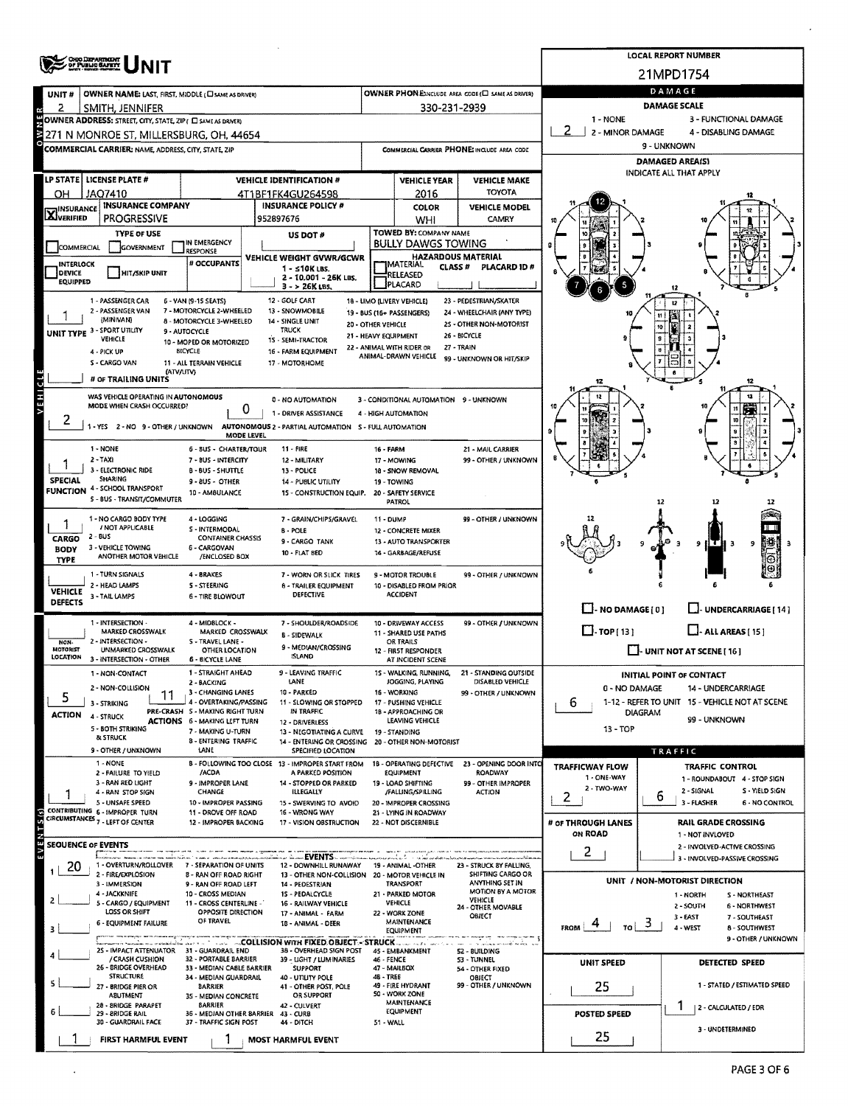|                             | <b>SPACE UNIT</b>                                                                                      |                                                           | <b>LOCAL REPORT NUMBER</b>                                                                    |                               |                                                     |                                                          |                                                                       |                                                               |  |  |  |  |  |  |
|-----------------------------|--------------------------------------------------------------------------------------------------------|-----------------------------------------------------------|-----------------------------------------------------------------------------------------------|-------------------------------|-----------------------------------------------------|----------------------------------------------------------|-----------------------------------------------------------------------|---------------------------------------------------------------|--|--|--|--|--|--|
|                             |                                                                                                        |                                                           |                                                                                               |                               |                                                     |                                                          |                                                                       | 21MPD1754                                                     |  |  |  |  |  |  |
| UNIT#                       | OWNER NAME: LAST, FIRST, MIDDLE (C) SAME AS DRIVER)                                                    |                                                           |                                                                                               |                               |                                                     | OWNER PHONE:INCLUDE AREA CODE (E SAME AS DRIVER)         |                                                                       | DAMAGE                                                        |  |  |  |  |  |  |
| 2                           | SMITH, JENNIFER                                                                                        |                                                           |                                                                                               |                               | 330-231-2939                                        |                                                          | 1 - NONE                                                              | <b>DAMAGE SCALE</b><br>3 - FUNCTIONAL DAMAGE                  |  |  |  |  |  |  |
|                             | OWNER ADDRESS: STREET, CITY, STATE, ZIP ( C SAME AS DRIVER)<br>271 N MONROE ST, MILLERSBURG, OH, 44654 |                                                           |                                                                                               |                               |                                                     |                                                          | 2<br>2 - MINOR DAMAGE<br>4 - DISABLING DAMAGE                         |                                                               |  |  |  |  |  |  |
|                             | COMMERCIAL CARRIER: NAME, ADDRESS, CITY, STATE, ZIP                                                    |                                                           |                                                                                               |                               |                                                     | COMMERCIAL CARRIER PHONE: INCLUDE AREA CODE              |                                                                       | 9 - UNKNOWN                                                   |  |  |  |  |  |  |
|                             |                                                                                                        |                                                           |                                                                                               |                               |                                                     |                                                          |                                                                       | <b>DAMAGED AREA(S)</b>                                        |  |  |  |  |  |  |
|                             | LP STATE   LICENSE PLATE #                                                                             |                                                           | <b>VEHICLE IDENTIFICATION #</b>                                                               |                               | <b>VEHICLE YEAR</b>                                 | <b>VEHICLE MAKE</b>                                      | INDICATE ALL THAT APPLY                                               |                                                               |  |  |  |  |  |  |
| ОН                          | JAQ7410                                                                                                |                                                           | 4T1BF1FK4GU264598                                                                             |                               | 2016                                                | <b>TOYOTA</b>                                            |                                                                       |                                                               |  |  |  |  |  |  |
| <b>X</b> INSURANCE          | <b>INSURANCE COMPANY</b>                                                                               |                                                           | <b>INSURANCE POLICY #</b>                                                                     | COLOR<br><b>VEHICLE MODEL</b> |                                                     |                                                          |                                                                       |                                                               |  |  |  |  |  |  |
|                             | <b>PROGRESSIVE</b>                                                                                     |                                                           | 952897676                                                                                     |                               | WHI                                                 | <b>CAMRY</b>                                             |                                                                       |                                                               |  |  |  |  |  |  |
|                             | <b>TYPE OF USE</b>                                                                                     | IN EMERGENCY                                              | US DOT #                                                                                      |                               | TOWED BY: COMPANY NAME<br><b>BULLY DAWGS TOWING</b> |                                                          |                                                                       |                                                               |  |  |  |  |  |  |
| COMMERCIAL                  | GOVERNMENT                                                                                             | <b>RESPONSE</b><br># OCCUPANTS                            | VEHICLE WEIGHT GVWR/GCWR                                                                      |                               | <b>HAZARDOUS MATERIAL</b>                           |                                                          |                                                                       |                                                               |  |  |  |  |  |  |
| INTERLOCK<br><b>DEVICE</b>  | HIT/SKIP UNIT                                                                                          |                                                           | 1 - ≤10K LBS.<br>2 - 10.001 - 26K LBS.                                                        |                               | <b>MATERIAL</b><br>CLASS <sup>#</sup><br>RELEASED   | PLACARD ID#                                              |                                                                       |                                                               |  |  |  |  |  |  |
| EQUIPPED                    |                                                                                                        |                                                           | $3 - 26K$ LBS.                                                                                |                               | PLACARD                                             |                                                          |                                                                       |                                                               |  |  |  |  |  |  |
|                             | 1 - PASSENGER CAR<br>2 - PASSENGER VAN                                                                 | 6 - VAN (9-15 SEATS)<br>7 - MOTORCYCLE 2-WHEELED          | 12 - GOLF CART<br>13 - SNOWMOBILE                                                             |                               | 18 - LIMO (LIVERY VEHICLE)                          | 23 - PEDESTRIAN/SKATER                                   |                                                                       |                                                               |  |  |  |  |  |  |
|                             | (MINIVAN)                                                                                              | 8 - MOTORCYCLE 3-WHEELED                                  | 14 - SINGLE UNIT                                                                              | 20 - OTHER VEHICLE            | 19 - BUS (16+ PASSENGERS)                           | 24 - WHEELCHAIR (ANY TYPE)<br>2S - OTHER NON-MOTORIST    |                                                                       |                                                               |  |  |  |  |  |  |
|                             | UNIT TYPE 3 - SPORT UTILITY<br><b>VEHICLE</b>                                                          | 9 - AUTOCYCLE<br>10 - MOPED OR MOTORIZED                  | <b>TRUCK</b><br>15 - SEMI-TRACTOR                                                             | 21 - HEAVY EQUIPMENT          |                                                     | 26 - BICYCLE                                             |                                                                       |                                                               |  |  |  |  |  |  |
|                             | 4 - PICK UP                                                                                            | <b>BICYCLE</b>                                            | 16 - FARM EQUIPMENT                                                                           |                               | 22 - ANIMAL WITH RIDER OR<br>ANIMAL-DRAWN VEHICLE   | 27 - TRAIN<br>99 - UNKNOWN OR HIT/SKIP                   |                                                                       |                                                               |  |  |  |  |  |  |
|                             | S - CARGO VAN<br>(ATV/UTV)                                                                             | 11 - ALL TERRAIN VEHICLE                                  | 17 - MOTORHOME                                                                                |                               |                                                     |                                                          |                                                                       |                                                               |  |  |  |  |  |  |
|                             | # OF TRAILING UNITS                                                                                    |                                                           |                                                                                               |                               |                                                     |                                                          |                                                                       |                                                               |  |  |  |  |  |  |
| <b>AEHICTE</b>              | WAS VEHICLE OPERATING IN AUTONOMOUS<br>MODE WHEN CRASH OCCURRED?                                       |                                                           | 0 - NO AUTOMATION                                                                             |                               | 3 - CONDITIONAL AUTOMATION 9 - UNKNOWN              |                                                          |                                                                       | 12                                                            |  |  |  |  |  |  |
| 2                           |                                                                                                        | 0                                                         | 1 - DRIVER ASSISTANCE                                                                         |                               | 4 - HIGH AUTOMATION                                 |                                                          |                                                                       | 11<br>殰<br>10                                                 |  |  |  |  |  |  |
|                             | -YES 2-NO 9-OTHER/UNKNOWN                                                                              | MODE LEVEL                                                | AUTONOMOUS 2 - PARTIAL AUTOMATION 5 - FULL AUTOMATION                                         |                               |                                                     |                                                          | $\mathbf{a}$                                                          |                                                               |  |  |  |  |  |  |
|                             | 1 - NONE                                                                                               | 6 - 8US - CHARTER/TOUR                                    | 11 - FIRE                                                                                     | 16 - FARM                     |                                                     | 21 - MAIL CARRIER                                        |                                                                       |                                                               |  |  |  |  |  |  |
|                             | $2 - TAX1$<br>3 - ELECTRONIC RIDE                                                                      | 7 - BUS - INTERCITY<br><b>B - BUS - SHUTTLE</b>           | 12 - MILITARY<br>13 - POLICE                                                                  |                               | 17 - MOWING<br>18 - SNOW REMOVAL                    | 99 - OTHER / UNKNOWN                                     |                                                                       |                                                               |  |  |  |  |  |  |
| <b>SPECIAL</b>              | <b>SHARING</b>                                                                                         | 9 - BUS - OTHER                                           | 14 - PUBLIC UTILITY                                                                           |                               | 19 - TOWING                                         |                                                          |                                                                       |                                                               |  |  |  |  |  |  |
|                             | <b>FUNCTION 4 - SCHOOL TRANSPORT</b><br>5 - BUS - TRANSIT/COMMUTER                                     | 10 - AMBULANCE                                            | 15 - CONSTRUCTION EQUIP.                                                                      |                               | 20 - SAFETY SERVICE<br>PATROL                       |                                                          |                                                                       | 12                                                            |  |  |  |  |  |  |
|                             | 1 - NO CARGO BODY TYPE                                                                                 | 4 - LOGGING                                               | 7 - GRAIN/CHIPS/GRAVEL                                                                        | 11 - DUMP                     |                                                     | 99 - OTHER / UNKNOWN                                     |                                                                       |                                                               |  |  |  |  |  |  |
|                             | / NOT APPLICABLE                                                                                       | S - INTERMODAL                                            | B - POLE                                                                                      |                               | 12 - CONCRETE MIXER                                 |                                                          |                                                                       |                                                               |  |  |  |  |  |  |
| <b>CARGO</b><br><b>BODY</b> | 2 - BUS<br>3 - VEHICLE TOWING                                                                          | <b>CONTAINER CHASSIS</b><br>6 - CARGOVAN                  | 9 - CARGO TANK                                                                                |                               | 13 - AUTO TRANSPORTER                               |                                                          |                                                                       | 9                                                             |  |  |  |  |  |  |
| <b>TYPE</b>                 | ANOTHER MOTOR VEHICLE                                                                                  | /ENCLOSED BOX                                             | <b>10 - FLAT BED</b>                                                                          |                               | 14 - GARBAGE/REFUSE                                 |                                                          |                                                                       |                                                               |  |  |  |  |  |  |
|                             | 1 - TURN SIGNALS<br>2 - HEAD LAMPS                                                                     | 4 - BRAKES                                                | 7 - WORN OR SLICK TIRES                                                                       |                               | 9 - MOTOR TROUBLE                                   | 99 - OTHER / UNKNOWN                                     |                                                                       |                                                               |  |  |  |  |  |  |
| <b>VEHICLE</b>              | 3 - TAIL LAMPS                                                                                         | <b>5 - STEERING</b><br><b>6 - TIRE BLOWOUT</b>            | <b>8 - TRAILER EQUIPMENT</b><br>DEFECTIVE                                                     |                               | 10 - DISABLED FROM PRIOR<br><b>ACCIDENT</b>         |                                                          |                                                                       |                                                               |  |  |  |  |  |  |
| <b>DEFECTS</b>              |                                                                                                        |                                                           |                                                                                               |                               |                                                     |                                                          | $\Box$ - NO DAMAGE [0]                                                | L. UNDERCARRIAGE [ 14 ]                                       |  |  |  |  |  |  |
|                             | 1 - INTERSECTION -<br>MARKED CROSSWALK                                                                 | 4 - MIDBLOCK -<br>MARKED CROSSWALK                        | 7 - SHOULDER/ROADSIDE                                                                         |                               | 10 - DRIVEWAY ACCESS<br>11 - SHARED USE PATHS       | 99 - OTHER / UNKNOWN                                     | $\Box$ -TOP(13)                                                       | $\Box$ - ALL AREAS [ 15 ]                                     |  |  |  |  |  |  |
| NON-<br>MOTORIST            | 2 - INTERSECTION -<br>UNMARKED CROSSWALK                                                               | S - TRAVEL LANE -<br>OTHER LOCATION                       | <b>B - SIDEWALK</b><br>9 - MEDIAN/CROSSING                                                    |                               | OR TRAILS                                           |                                                          | $\Box$ - UNIT NOT AT SCENE [ 16 ]                                     |                                                               |  |  |  |  |  |  |
| LOCATION                    | 3 - INTERSECTION - OTHER                                                                               | 6 - BICYCLE LANE                                          | ISLAND                                                                                        |                               | 12 - FIRST RESPONDER<br>AT INCIDENT SCENE           |                                                          |                                                                       |                                                               |  |  |  |  |  |  |
|                             | 1 - NON-CONTACT                                                                                        | 1 - STRAIGHT AHEAD                                        | 9 - LEAVING TRAFFIC<br>LANE                                                                   |                               | 15 - WALKING, RUNNING,<br>JOGGING, PLAYING          | 21 - STANDING OUTSIDE<br>DISABLED VEHICLE                |                                                                       | <b>INITIAL POINT OF CONTACT</b>                               |  |  |  |  |  |  |
| 5                           | 2 - NON-COLLISION                                                                                      | 2 - BACKING<br>3 - CHANGING LANES                         | 10 - PARKED                                                                                   |                               | 16 - WORKING                                        | 99 - OTHER / UNKNOWN                                     | 0 - NO DAMAGE                                                         | 14 - UNDERCARRIAGE                                            |  |  |  |  |  |  |
|                             | 3 - STRIKING                                                                                           | 4 - OVERTAKING/PASSING<br>PRE-CRASH S - MAKING RIGHT TURN | 11 - SLOWING OR STOPPED<br>IN TRAFFIC                                                         |                               | 17 - PUSHING VEHICLE<br>1B - APPROACHING OR         |                                                          | 1-12 - REFER TO UNIT 15 - VEHICLE NOT AT SCENE<br>6<br><b>DIAGRAM</b> |                                                               |  |  |  |  |  |  |
| <b>ACTION</b>               | 4 - STRUCK<br>5 - BOTH STRIKING                                                                        | <b>ACTIONS 6 - MAKING LEFT TURN</b>                       | 12 - DRIVERLESS                                                                               |                               | LEAVING VEHICLE                                     |                                                          | $13 - TOP$                                                            | 99 - UNKNOWN                                                  |  |  |  |  |  |  |
|                             | & STRUCK                                                                                               | 7 - MAKING U-TURN<br><b>8 - ENTERING TRAFFIC</b>          | 13 - NEGOTIATING A CURVE<br>14 - ENTERING OR CROSSING                                         |                               | 19 - STANDING<br>20 - OTHER NON-MOTORIST            |                                                          |                                                                       |                                                               |  |  |  |  |  |  |
|                             | 9 - OTHER / UNKNOWN                                                                                    | LANE                                                      | SPECIFIED LOCATION                                                                            |                               |                                                     |                                                          |                                                                       | TRAFFIC                                                       |  |  |  |  |  |  |
|                             | 1 - NONE<br>2 - FAILURE TO YIELD                                                                       | /ACDA                                                     | 8 - FOLLOWING TOO CLOSE 13 - IMPROPER START FROM<br>A PARKED POSITION                         |                               | 18 - OPERATING DEFECTIVE<br>EQUIPMENT               | 23 - OPENING DOOR INTO<br>ROADWAY                        | <b>TRAFFICWAY FLOW</b><br>1 - ONE-WAY                                 | <b>TRAFFIC CONTROL</b><br>1 - ROUNDABOUT 4 - STOP SIGN        |  |  |  |  |  |  |
|                             | 3 - RAN RED LIGHT<br>4 - RAN STOP SIGN                                                                 | 9 - IMPROPER LANE<br>CHANGE                               | 14 - STOPPED OR PARKED<br>ILLEGALLY                                                           |                               | 19 - LOAD SHIFTING<br>/FALLING/SPILLING             | 99 - OTHER IMPROPER<br><b>ACTION</b>                     | 2 - TWO-WAY                                                           | 2 - SIGNAL<br>S - YIELD SIGN                                  |  |  |  |  |  |  |
|                             | 5 - UNSAFE SPEED                                                                                       | 10 - IMPROPER PASSING                                     | 15 - SWERVING TO AVOID                                                                        |                               | 20 - IMPROPER CROSSING                              |                                                          | $\mathbf{2}$                                                          | 6<br>3 - FLASHER<br><b>6 - NO CONTROL</b>                     |  |  |  |  |  |  |
|                             | CONTRIBUTING 6 - IMPROPER TURN<br>CONTRIBUTING 6 - IMPROPER TURN                                       | 11 - DROVE OFF ROAD<br>12 - IMPROPER BACKING              | 16 - WRONG WAY<br>17 - VISION OBSTRUCTION                                                     |                               | 21 - LYING IN ROADWAY<br>22 - NOT DISCERNIBLE       |                                                          | # OF THROUGH LANES                                                    | <b>RAIL GRADE CROSSING</b>                                    |  |  |  |  |  |  |
|                             |                                                                                                        |                                                           |                                                                                               |                               |                                                     |                                                          | ON ROAD                                                               | 1 - NOT INVLOVED                                              |  |  |  |  |  |  |
| <b>SEOUENCE OF EVENTS</b>   |                                                                                                        |                                                           |                                                                                               |                               |                                                     |                                                          | 2                                                                     | 2 - INVOLVED-ACTIVE CROSSING<br>3 - INVOLVED-PASSIVE CROSSING |  |  |  |  |  |  |
| 20                          | 1 - OVERTURN/ROLLOVER<br>2 - FIRE/EXPLOSION                                                            | 7 - SEPARATION OF UNITS<br>8 - RAN OFF ROAD RIGHT         | 12 - DOWNHILL RUNAWAY<br>13 - OTHER NON-COLLISION 20 - MOTOR VEHICLE IN                       |                               | 19 - ANIMAL -OTHER                                  | 23 - STRUCK BY FALLING,<br>SHIFTING CARGO OR             |                                                                       |                                                               |  |  |  |  |  |  |
|                             | 3 - IMMERSION                                                                                          | 9 - RAN OFF ROAD LEFT                                     | 14 - PEDESTRIAN                                                                               |                               | TRANSPORT                                           | ANYTHING SET IN<br>MOTION BY A MOTOR                     |                                                                       | UNIT / NON-MOTORIST DIRECTION                                 |  |  |  |  |  |  |
|                             | 4 - JACKKNIFE<br>5 - CARGO / EQUIPMENT                                                                 | 10 - CROSS MEDIAN<br>11 - CROSS CENTERLINE -              | 1S - PEDALCYCLE<br>16 - RAILWAY VEHICLE                                                       |                               | 21 - PARKED MOTOR<br>VEHICLE                        | VEHICLE<br>24 - OTHER MOVABLE                            |                                                                       | 1 - NORTH<br>S - NORTHEAST<br>2 - SOUTH<br>6 - NORTHWEST      |  |  |  |  |  |  |
|                             | LOSS OR SHIFT<br>6 - EQUIPMENT FAILURE                                                                 | OPPOSITE DIRECTION<br>OF TRAVEL                           | 17 - ANIMAL - FARM<br>18 - ANIMAL - DEER                                                      |                               | 22 - WORK ZONE<br>MAINTENANCE                       | OBJECT                                                   |                                                                       | 3-EAST<br>7 - SOUTHEAST                                       |  |  |  |  |  |  |
| з                           | crimer many or group at a morter crimerant                                                             |                                                           |                                                                                               |                               | <b>EQUIPMENT</b>                                    | a langunggunaan                                          | FROM $\frac{4}{10}$ to $\frac{3}{10}$                                 | 4 - WEST<br><b>8 - SOUTHWEST</b><br>9 - OTHER / UNKNOWN       |  |  |  |  |  |  |
|                             | 25 - IMPACT ATTENUATOR 31 - GUARDRAIL END                                                              |                                                           | <b>EXAMPLE 2012 COLLISION WITH FIXED OBJECT - STRUCK COLLISION</b><br>38 - OVERHEAD SIGN POST |                               | 45 - EMBANKMENT                                     | the continuation of the continue of the<br>52 - BUILDING |                                                                       |                                                               |  |  |  |  |  |  |
|                             | / CRASH CUSHION<br>26 - BRIDGE OVERHEAD                                                                | 32 - PORTABLE BARRIER<br>33 - MEDIAN CABLE BARRIER        | 39 - LIGHT / LUMINARIES<br><b>SUPPORT</b>                                                     | 46 - FENCE<br>47 - MAILBOX    |                                                     | 53 - TUNNEL<br>54 - OTHER FIXED                          | UNIT SPEED                                                            | DETECTED SPEED                                                |  |  |  |  |  |  |
|                             | <b>STRUCTURE</b><br>27 - BRIDGE PIER OR                                                                | 34 - MEDIAN GUARDRAIL<br><b>BARRIER</b>                   | 40 - UTILITY POLE<br>41 - OTHER POST, POLE                                                    | 48 - TREE                     | 49 - FIRE HYDRANT                                   | OBJECT<br>99 - OTHER / UNKNOWN                           | 25                                                                    | 1 - STATED / ESTIMATED SPEED                                  |  |  |  |  |  |  |
|                             | ABUTMENT                                                                                               | 35 - MEDIAN CONCRETE                                      | OR SUPPORT                                                                                    |                               | 50 - WORK ZONE<br><b>MAINTENANCE</b>                |                                                          |                                                                       |                                                               |  |  |  |  |  |  |
|                             | 28 - 8RIDGE PARAPET<br>29 - BRIDGE RAIL                                                                | BARRIER<br>36 - MEDIAN OTHER BARRIER 43 - CURB            | 42 - CULVERT                                                                                  |                               | <b>EQUIPMENT</b>                                    | 2 - CALCULATED / EDR                                     |                                                                       |                                                               |  |  |  |  |  |  |
|                             | 30 - GUARDRAIL FACE                                                                                    | 37 - TRAFFIC SIGN POST                                    | 44 - DITCH                                                                                    | 51 - WALL                     |                                                     |                                                          |                                                                       | 3 - UNDETERMINED                                              |  |  |  |  |  |  |
|                             | FIRST HARMFUL EVENT                                                                                    |                                                           | <b>MOST HARMFUL EVENT</b>                                                                     |                               |                                                     |                                                          | 25                                                                    |                                                               |  |  |  |  |  |  |

 $\bar{\star}$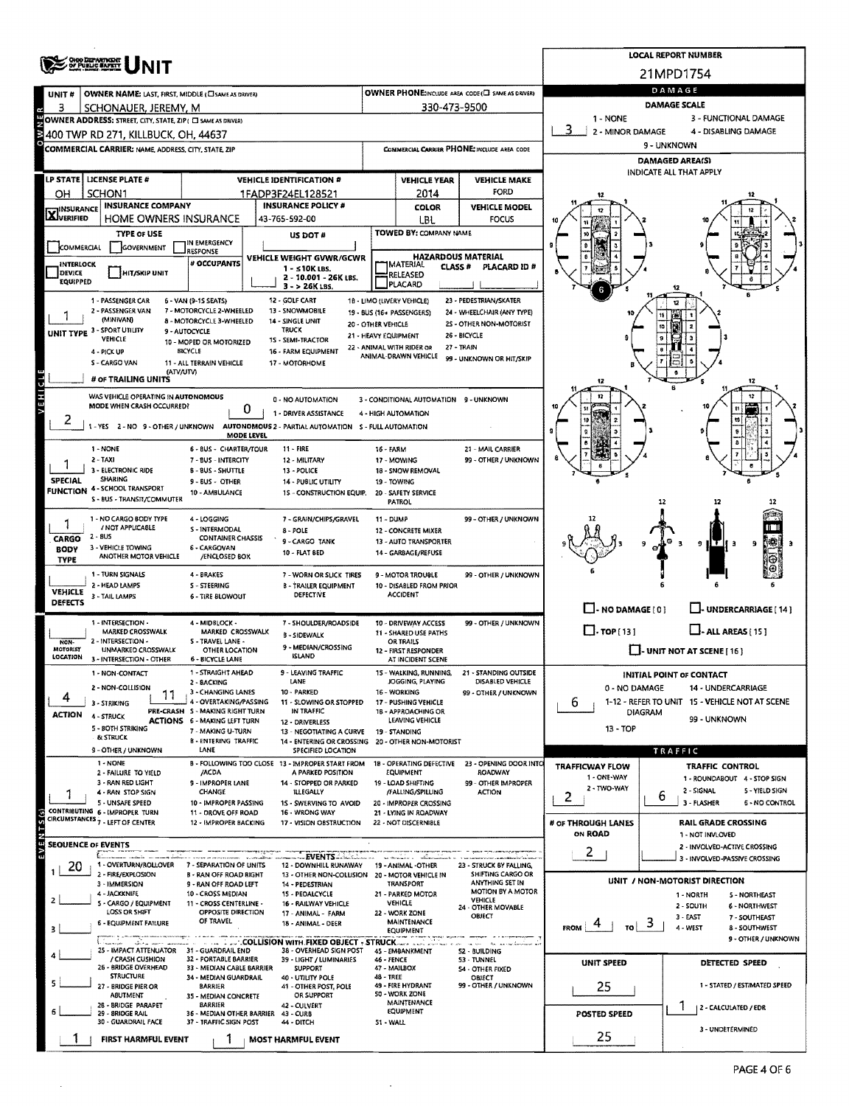|                              | ORO DEPARTMENT                                                     |                                                          |                                                                                          |                                                    |                                                         |                                                     |                                                       |                      | LOCAL REPORT NUMBER                                                  |  |  |  |  |  |  |
|------------------------------|--------------------------------------------------------------------|----------------------------------------------------------|------------------------------------------------------------------------------------------|----------------------------------------------------|---------------------------------------------------------|-----------------------------------------------------|-------------------------------------------------------|----------------------|----------------------------------------------------------------------|--|--|--|--|--|--|
|                              |                                                                    |                                                          |                                                                                          |                                                    |                                                         |                                                     |                                                       |                      | 21MPD1754                                                            |  |  |  |  |  |  |
| UNIT#                        | <b>OWNER NAME: LAST, FIRST, MIDDLE (CI SAME AS DRIVER)</b>         |                                                          | OWNER PHONE:INCLUDE AREA CODE (E) SAME AS DRIVER)                                        | DAMAGE                                             |                                                         |                                                     |                                                       |                      |                                                                      |  |  |  |  |  |  |
| з                            | SCHONAUER, JEREMY, M                                               |                                                          |                                                                                          |                                                    | 330-473-9500                                            |                                                     | <b>DAMAGE SCALE</b>                                   |                      |                                                                      |  |  |  |  |  |  |
|                              | OWNER ADDRESS: STREET, CITY, STATE, ZIP ( C) SAME AS DRIVER)       |                                                          |                                                                                          |                                                    |                                                         |                                                     | 1 - NONE<br>3 - FUNCTIONAL DAMAGE<br>2 - MINOR DAMAGE |                      |                                                                      |  |  |  |  |  |  |
| ¥                            | 400 TWP RD 271. KILLBUCK. OH. 44637                                |                                                          |                                                                                          |                                                    |                                                         |                                                     |                                                       | 4 - DISABLING DAMAGE |                                                                      |  |  |  |  |  |  |
|                              | COMMERCIAL CARRIER: NAME, ADDRESS, CITY, STATE, ZIP                |                                                          |                                                                                          |                                                    |                                                         | COMMERCIAL CARRIER PHONE: INCLUDE AREA CODE         | 9 - UNKNOWN                                           |                      |                                                                      |  |  |  |  |  |  |
|                              |                                                                    |                                                          |                                                                                          |                                                    |                                                         |                                                     | DAMAGED AREA(S)<br>INDICATE ALL THAT APPLY            |                      |                                                                      |  |  |  |  |  |  |
|                              | LP STATE   LICENSE PLATE #                                         |                                                          | <b>VEHICLE IDENTIFICATION #</b>                                                          | <b>VEHICLE YEAR</b><br><b>VEHICLE MAKE</b><br>FORD |                                                         |                                                     |                                                       |                      |                                                                      |  |  |  |  |  |  |
| ОН                           | SCHON1<br><b>INSURANCE COMPANY</b>                                 |                                                          | 1FADP3F24EL128521<br><b>INSURANCE POLICY #</b>                                           |                                                    | 2014<br><b>COLOR</b>                                    | <b>VEHICLE MODEL</b>                                |                                                       |                      |                                                                      |  |  |  |  |  |  |
| <b>X</b> INSURANCE           | <b>HOME OWNERS INSURANCE</b>                                       |                                                          | 43-765-592-00                                                                            |                                                    | LBL                                                     | <b>FOCUS</b>                                        |                                                       |                      |                                                                      |  |  |  |  |  |  |
|                              | <b>TYPE OF USE</b>                                                 |                                                          | US DOT #                                                                                 |                                                    | TOWED BY: COMPANY NAME                                  |                                                     |                                                       |                      |                                                                      |  |  |  |  |  |  |
| COMMERCIAL                   | GOVERNMENT                                                         | IN EMERGENCY<br><b>RESPONSE</b>                          |                                                                                          |                                                    |                                                         |                                                     |                                                       |                      |                                                                      |  |  |  |  |  |  |
| <b>INTERLOCK</b>             |                                                                    | # OCCUPANTS                                              | VEHICLE WEIGHT GVWR/GCWR<br>1 - s10K LBS.                                                |                                                    | <b>JMATERIAL</b><br><b>CLASS #</b>                      | <b>HAZARDOUS MATERIAL</b><br>PLACARD ID #           |                                                       |                      |                                                                      |  |  |  |  |  |  |
| DEVICE<br><b>EQUIPPED</b>    | HIT/SKIP UNIT                                                      |                                                          | 2 - 10.001 - 26K LBS.                                                                    |                                                    | RELEASED<br>PLACARD                                     |                                                     |                                                       |                      |                                                                      |  |  |  |  |  |  |
|                              |                                                                    |                                                          | 3 - > 26K LBS.<br>12 - GOLF CART                                                         |                                                    |                                                         | 23 - PEDESTRIAN/SKATER                              |                                                       |                      |                                                                      |  |  |  |  |  |  |
|                              | 1 - PASSENGER CAR<br>2 - PASSENGER VAN                             | 6 - VAN (9-15 SEATS)<br>7 - MOTORCYCLE 2-WHEELED         | 13 - SNOWMOBILE                                                                          |                                                    | 18 - LIMO (LIVERY VEHICLE)<br>19 - BUS (16+ PASSENGERS) | 24 - WHEELCHAIR (ANY TYPE)                          |                                                       |                      |                                                                      |  |  |  |  |  |  |
| UNIT TYPE 3 - SPORT UTILITY  | (MINIVAN)                                                          | 8 - MOTORCYCLE 3-WHEELED<br>9 - AUTOCYCLE                | 14 - SINGLE UNIT<br><b>TRUCK</b>                                                         | 20 - OTHER VEHICLE                                 |                                                         | 2S - OTHER NON-MOTORIST                             |                                                       |                      |                                                                      |  |  |  |  |  |  |
|                              | VEHICLE                                                            | 10 - MOPED OR MOTORIZED                                  | 1S - SEMI-TRACTOR                                                                        |                                                    | 21 - HEAVY EQUIPMENT                                    | 26 - BICYCLE<br>27 - TRAIN                          |                                                       |                      |                                                                      |  |  |  |  |  |  |
|                              | 4 - PICK UP<br>S - CARGO VAN                                       | <b>BICYCLE</b>                                           | 16 - FARM EQUIPMENT                                                                      |                                                    | 22 - ANIMAL WITH RIDER OR<br>ANIMAL-DRAWN VEHICLE       | 99 - UNKNOWN OR HIT/SKIP                            |                                                       |                      |                                                                      |  |  |  |  |  |  |
|                              | (ATV/UTV)                                                          | 11 - ALL TERRAIN VEHICLE                                 | 17 - MOTORHOME                                                                           |                                                    |                                                         |                                                     |                                                       |                      |                                                                      |  |  |  |  |  |  |
|                              | # OF TRAILING UNITS                                                |                                                          |                                                                                          |                                                    |                                                         |                                                     |                                                       |                      |                                                                      |  |  |  |  |  |  |
| VEHICLE                      | WAS VEHICLE OPERATING IN AUTONOMOUS<br>MODE WHEN CRASH OCCURRED?   |                                                          | 0 - NO AUTOMATION                                                                        |                                                    | 3 - CONDITIONAL AUTOMATION 9 - UNKNOWN                  |                                                     |                                                       |                      |                                                                      |  |  |  |  |  |  |
| ۷                            |                                                                    | 0                                                        | 1 - DRIVER ASSISTANCE                                                                    |                                                    | 4 - HIGH AUTOMATION                                     |                                                     | 10                                                    |                      |                                                                      |  |  |  |  |  |  |
|                              |                                                                    | <b>MODE LEVEL</b>                                        | 1 - YES 2 - NO 9 - OTHER / UNKNOWN AUTONOMOUS 2 - PARTIAL AUTOMATION S - FULL AUTOMATION |                                                    |                                                         |                                                     |                                                       |                      |                                                                      |  |  |  |  |  |  |
|                              | 1 - NONE                                                           | 6 - BUS - CHARTER/TOUR                                   | 11 - FIRE                                                                                | 16 - FARM                                          |                                                         | 21 - MAIL CARRIER                                   |                                                       |                      |                                                                      |  |  |  |  |  |  |
|                              | $2 - TAXI$<br>3 - ELECTRONIC RIDE                                  | 7 - BUS - INTERCITY                                      | 12 - MILITARY                                                                            |                                                    | 17 - MOWING                                             | 99 - OTHER / UNKNOWN                                |                                                       |                      |                                                                      |  |  |  |  |  |  |
| <b>SPECIAL</b>               | SHARING                                                            | <b>B-BUS-SHUTTLE</b><br>9-BUS OTHER                      | 13 - POLICE<br>14 PUBLIC UTILITY                                                         |                                                    | 18 - SNOW REMOVAL<br>19 - TOWING                        |                                                     |                                                       |                      |                                                                      |  |  |  |  |  |  |
|                              | <b>FUNCTION 4 - SCHOOL TRANSPORT</b><br>S - BUS - TRANSIT/COMMUTER | 10 - AMBULANCE                                           | 15 - CONSTRUCTION EQUIP.                                                                 |                                                    | 20 - SAFETY SERVICE                                     |                                                     |                                                       |                      |                                                                      |  |  |  |  |  |  |
|                              |                                                                    |                                                          |                                                                                          |                                                    | <b>PATROL</b>                                           |                                                     |                                                       | 12                   |                                                                      |  |  |  |  |  |  |
|                              | 1 - NO CARGO BODY TYPE<br>/ NOT APPLICABLE                         | 4 - LOGGING<br>S - INTERMODAL                            | 7 - GRAIN/CHIPS/GRAVEL<br>8 - POLE                                                       | 11 - DUMP                                          | 12 - CONCRETE MIXER                                     | 99 - OTHER / UNKNOWN                                |                                                       |                      |                                                                      |  |  |  |  |  |  |
| CARGO                        | 2 - BUS                                                            | <b>CONTAINER CHASSIS</b>                                 | 9 - CARGO TANK                                                                           |                                                    | 13 - AUTO TRANSPORTER                                   |                                                     |                                                       |                      | э                                                                    |  |  |  |  |  |  |
| <b>BODY</b><br><b>TYPE</b>   | 3 - VEHICLE TOWING<br>ANOTHER MOTOR VEHICLE                        | 6 - CARGOVAN<br>/ENCLOSED BOX                            | 10 - FLAT BED                                                                            |                                                    | 14 - GARBAGE/REFUSE                                     |                                                     |                                                       |                      |                                                                      |  |  |  |  |  |  |
|                              | 1 - TURN SIGNALS                                                   | 4 - BRAKES                                               | 7 - WORN OR SLICK TIRES                                                                  |                                                    | 9 - MOTOR TROUBLE                                       | 99 - OTHER / UNKNOWN                                |                                                       |                      |                                                                      |  |  |  |  |  |  |
| <b>VEHICLE</b>               | 2 - HEAD LAMPS                                                     | S - STEERING                                             | <b>B - TRAILER EQUIPMENT</b>                                                             |                                                    | 10 - DISABLED FROM PRIOR                                |                                                     |                                                       |                      |                                                                      |  |  |  |  |  |  |
| <b>DEFECTS</b>               | 3 - TAIL LAMPS                                                     | 6 - TIRE BLOWOUT                                         | <b>DEFECTIVE</b>                                                                         |                                                    | <b>ACCIDENT</b>                                         |                                                     | $\Box$ -NO DAMAGE $(0)$                               |                      | U-UNDERCARRIAGE [14]                                                 |  |  |  |  |  |  |
|                              | 1 - INTERSECTION -                                                 | 4 - MIDBLOCK -                                           | 7 - SHOULDER/ROADSIDE                                                                    |                                                    | 10 - DRIVEWAY ACCESS                                    | 99 - OTHER / UNKNOWN                                |                                                       |                      |                                                                      |  |  |  |  |  |  |
|                              | <b>MARKED CROSSWALK</b><br>2 - INTERSECTION -                      | MARKED CROSSWALK<br>S - TRAVEL LANE -                    | <b>B - SIDEWALK</b>                                                                      |                                                    | 11 - SHARED USE PATHS                                   |                                                     | $\Box$ . TOP [13]                                     |                      | $L$ - ALL AREAS [15]                                                 |  |  |  |  |  |  |
| NON-<br>MOTORIST<br>LOCATION | <b>UNMARKED CROSSWALK</b>                                          | OTHER LOCATION                                           | 9 - MEDIAN/CROSSING<br><b>ISLAND</b>                                                     |                                                    | OR TRAILS<br>12 - FIRST RESPONDER                       |                                                     |                                                       |                      | $\Box$ - UNIT NOT AT SCENE [16]                                      |  |  |  |  |  |  |
|                              | 3 - INTERSECTION - OTHER                                           | 6 - BICYCLE LANE<br>1 - STRAIGHT AHEAD                   | 9 - LEAVING TRAFFIC                                                                      |                                                    | AT INCIDENT SCENE                                       | 15 - WALKING, RUNNING. 21 - STANDING OUTSIDE        |                                                       |                      |                                                                      |  |  |  |  |  |  |
|                              | 1 - NON-CONTACT<br>2 - NON-COLLISION                               | 2 - BACKING                                              | LANE                                                                                     |                                                    | JOGGING, PLAYING                                        | DISABLED VEHICLE                                    |                                                       |                      | <b>INITIAL POINT OF CONTACT</b>                                      |  |  |  |  |  |  |
|                              | 3 - STRIKING                                                       | 3 - CHANGING LANES<br>4 - OVERTAKING/PASSING             | 10 - PARKED<br>11 - SLOWING OR STOPPED                                                   |                                                    | 16 - WORKING<br>17 - PUSHING VEHICLE                    | 99 - OTHER / UNKNOWN                                | 0 - NO DAMAGE<br>6.                                   |                      | 14 - UNDERCARRIAGE<br>1-12 - REFER TO UNIT 15 - VEHICLE NOT AT SCENE |  |  |  |  |  |  |
| <b>ACTION</b>                | 4 - STRUCK                                                         | PRE-CRASH S - MAKING RIGHT TURN                          | IN TRAFFIC                                                                               |                                                    | 18 - APPROACHING OR                                     |                                                     |                                                       | DIAGRAM              | 99 - UNKNOWN                                                         |  |  |  |  |  |  |
|                              | 5 - 80TH STRIKING                                                  | <b>ACTIONS 6 - MAKING LEFT TURN</b><br>7 - MAKING U-TURN | 12 - DRIVERLESS<br>13 - NEGOTIATING A CURVE                                              |                                                    | LEAVING VEHICLE<br>19 - STANDING                        |                                                     | 13 - TOP                                              |                      |                                                                      |  |  |  |  |  |  |
|                              | <b>&amp; STRUCK</b>                                                | <b>B - ENTERING TRAFFIC</b><br>LANE                      | 14 - ENTERING OR CROSSING                                                                |                                                    | 20 - OTHER NON-MOTORIST                                 |                                                     |                                                       |                      |                                                                      |  |  |  |  |  |  |
|                              | 9 - OTHER / UNKNOWN<br>1 - NONE                                    |                                                          | SPECIFIED LOCATION<br>B - FOLLOWING TOO CLOSE 13 - IMPROPER START FROM                   |                                                    | 18 - OPERATING DEFECTIVE                                | 23 - OPENING DOOR INTO                              |                                                       |                      | TRAFFIC                                                              |  |  |  |  |  |  |
|                              | 2 - FAILURE TO YIELD                                               | /ACDA                                                    | A PARKED POSITION                                                                        |                                                    | EQUIPMENT                                               | ROADWAY                                             | <b>TRAFFICWAY FLOW</b><br>1 - ONE-WAY                 |                      | TRAFFIC CONTROL<br>1 - ROUNDABOUT 4 - STOP SIGN                      |  |  |  |  |  |  |
|                              | 3 - RAN RED LIGHT<br>4 - RAN STOP SIGN                             | 9 - IMPROPER LANE<br>CHANGE                              | 14 - STOPPED OR PARKED<br><b>ILLEGALLY</b>                                               |                                                    | 19 - LOAD SHIFTING<br>/FALLING/SPILLING                 | 99 - OTHER IMPROPER<br><b>ACTION</b>                | 2 - TWO-WAY                                           |                      | 2 - SIGNAL<br>5 - YIELD SIGN                                         |  |  |  |  |  |  |
|                              | 5 - UNSAFE SPEED                                                   | 10 - IMPROPER PASSING                                    | 15 - SWERVING TO AVOID                                                                   |                                                    | 20 - IMPROPER CROSSING                                  |                                                     | z                                                     | 6                    | 3 - FLASHER<br><b>6 - NO CONTROL</b>                                 |  |  |  |  |  |  |
| EVENTS(s)                    | CONTRIBUTING 6 - IMPROPER TURN<br>CIRCUMSTANCES 7 - LEFT OF CENTER | 11 - DROVE OFF ROAD<br>12 - IMPROPER BACKING             | 16 - WRONG WAY<br>17 - VISION OBSTRUCTION                                                |                                                    | 21 - LYING IN ROADWAY<br>22 - NOT DISCERNIBLE           |                                                     | # OF THROUGH LANES                                    |                      | <b>RAIL GRADE CROSSING</b>                                           |  |  |  |  |  |  |
|                              |                                                                    |                                                          |                                                                                          |                                                    |                                                         |                                                     | ON ROAD                                               |                      | 1 - NOT INVLOVED                                                     |  |  |  |  |  |  |
| <b>SEQUENCE OF EVENTS</b>    | Ţ.,                                                                | <b>Service Street</b>                                    | Events                                                                                   |                                                    |                                                         |                                                     | $\overline{2}$                                        |                      | 2 - INVOLVED-ACTIVE CROSSING<br>3 - INVOLVED-PASSIVE CROSSING        |  |  |  |  |  |  |
| 20                           | 1 - OVERTURN/ROLLOVER                                              | 7 - SEPARATION OF UNITS                                  | 12 - DOWNHILL RUNAWAY                                                                    |                                                    | 19 - ANIMAL - OTHER                                     | 23 - STRUCK BY FALLING,<br><b>SHIFTING CARGO OR</b> |                                                       |                      |                                                                      |  |  |  |  |  |  |
|                              | 2 - FIRE/EXPLOSION<br>3 - IMMERSION                                | <b>B - RAN OFF ROAD RIGHT</b><br>9 - RAN OFF ROAD LEFT   | 13 - OTHER NON-COLLISION 20 - MOTOR VEHICLE IN<br>14 - PEDESTRIAN                        |                                                    | <b>TRANSPORT</b>                                        | ANYTHING SET IN                                     |                                                       |                      | UNIT / NON-MOTORIST DIRECTION                                        |  |  |  |  |  |  |
| $\mathbf{2}$                 | 4 - JACKKNIFE<br>5 - CARGO / EQUIPMENT                             | 10 - CROSS MEDIAN<br>11 - CROSS CENTERLINE -             | 15 - PEDALCYCLE<br>16 - RAILWAY VEHICLE                                                  |                                                    | 21 - PARKED MOTOR<br>VEHICLE                            | <b>MOTION BY A MOTOR</b><br>VEHICLE                 |                                                       |                      | 1 - NORTH<br>5 - NORTHEAST                                           |  |  |  |  |  |  |
|                              | LOSS OR SHIFT                                                      | OPPOSITE DIRECTION                                       | 17 - ANIMAL - FARM                                                                       |                                                    | 22 - WORK ZONE                                          | 24 - OTHER MOVABLE<br>OBJECT                        |                                                       |                      | 2 - SOUTH<br>6 - NORTHWEST<br>3 - EAST<br>7 - SOUTHEAST              |  |  |  |  |  |  |
| 3                            | 6 - EQUIPMENT FAILURE                                              | OF TRAVEL                                                | 18 - ANIMAL - DEER                                                                       |                                                    | MAINTENANCE<br>EQUIPMENT                                |                                                     | $\frac{1}{10}$ 3<br>4<br><b>FROM</b>                  |                      | 4 - WEST<br>8 - SOUTHWEST                                            |  |  |  |  |  |  |
|                              | above a more amount                                                |                                                          | <b>AND LOT COLLISION WITH FIXED OBJECT + STRUCK</b>                                      |                                                    |                                                         | has an one handlower                                |                                                       |                      | 9 - OTHER / UNKNOWN                                                  |  |  |  |  |  |  |
|                              | 25 - IMPACT ATTENUATOR 31 - GUARDRAIL END<br>/ CRASH CUSHION       | 32 - PORTABLE BARRIER                                    | 38 - OVERHEAD SIGN POST<br>39 - LIGHT / LUMINARIES                                       | <b>46 - FENCE</b>                                  | 45 - EMBANKMENT                                         | 52 - BUILDING<br>53 - TUNNEL                        | UNIT SPEED                                            |                      | DETECTED SPEED                                                       |  |  |  |  |  |  |
|                              | 26 - BRIDGE OVERHEAD<br><b>STRUCTURE</b>                           | 33 - MEDIAN CABLE BARRIER<br>34 - MEDIAN GUARDRAIL       | <b>SUPPORT</b><br>40 - UTILITY POLE                                                      | 48 - TREE                                          | 47 - MAILBOX                                            | <b>54 - OTHER FIXED</b><br><b>OBJECT</b>            |                                                       |                      |                                                                      |  |  |  |  |  |  |
|                              | 27 - BRIDGE PIER OR<br>ABUTMENT                                    | <b>BARRIER</b><br>35 - MEDIAN CONCRETE                   | 41 - OTHER POST, POLE<br>OR SUPPORT                                                      |                                                    | 49 - FIRE HYDRANT<br>50 - WORK ZONE                     | 99 - OTHER / UNKNOWN                                | 25                                                    |                      | 1 - STATED / ESTIMATED SPEED                                         |  |  |  |  |  |  |
|                              | 26 - BRIDGE PARAPET                                                | <b>BARRIER</b>                                           | 42 - CULVERT                                                                             |                                                    | MAINTENANCE<br>EQUIPMENT                                |                                                     |                                                       |                      | 2 - CALCULATED / EDR                                                 |  |  |  |  |  |  |
|                              | 29 - BRIDGE RAIL<br>30 - GUARDRAIL FACE                            | 36 - MEDIAN OTHER BARRIER<br>37 - TRAFFIC SIGN POST      | 43 - CURB<br>44 - DITCH                                                                  | 51 - WALL                                          |                                                         |                                                     | POSTED SPEED                                          |                      |                                                                      |  |  |  |  |  |  |
|                              | FIRST HARMFUL EVENT                                                |                                                          | <b>MOST HARMFUL EVENT</b>                                                                |                                                    |                                                         |                                                     | 25                                                    |                      | 3 - UNDETERMINED                                                     |  |  |  |  |  |  |

 $\hat{\mathbf{r}}$ 

 $\cdot$